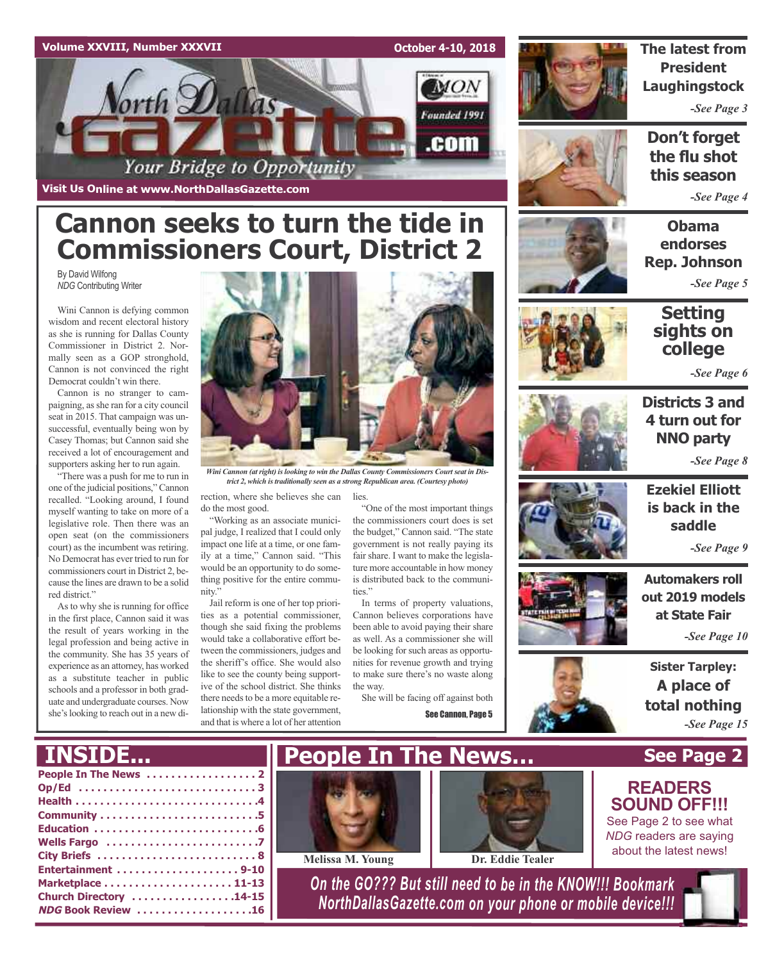



# **Cannon seeks to turn the tide in Commissioners Court, District 2**

By David Wilfong *NDG* Contributing Writer

Wini Cannon is defying common wisdom and recent electoral history as she is running for Dallas County Commissioner in District 2. Normally seen as a GOP stronghold, Cannon is not convinced the right Democrat couldn't win there.

Cannon is no stranger to campaigning, asshe ran for a city council seat in 2015. That campaign was unsuccessful, eventually being won by Casey Thomas; but Cannon said she received a lot of encouragement and supporters asking her to run again.

"There was a push for me to run in one of the judicial positions," Cannon recalled. "Looking around, I found myself wanting to take on more of a legislative role. Then there was an open seat (on the commissioners court) as the incumbent was retiring. No Democrat has ever tried to run for commissioners court in District 2, because the lines are drawn to be a solid red district."

As to why she is running for office in the first place, Cannon said it was the result of years working in the legal profession and being active in the community. She has 35 years of experience as an attorney, has worked as a substitute teacher in public schools and a professor in both graduate and undergraduate courses. Now she's looking to reach out in a new di-



*Wini Cannon (atright) islooking to win the Dallas County Commissioners Courtseat in District 2, which istraditionally seen as a strong Republican area. (Courtesy photo)*

lies.

rection, where she believes she can do the most good.

"Working as an associate municipal judge, I realized that I could only impact one life at a time, or one family at a time," Cannon said. "This would be an opportunity to do something positive for the entire community.'

Jail reform is one of her top priorities as a potential commissioner, though she said fixing the problems would take a collaborative effort between the commissioners, judges and the sheriff's office. She would also like to see the county being supportive of the school district. She thinks there needs to be a more equitable relationship with the state government, and that is where a lot of her attention

"One of the most important things the commissioners court does is set the budget," Cannon said. "The state government is not really paying its fair share. I want to make the legislature more accountable in how money is distributed back to the communities."

In terms of property valuations, Cannon believes corporations have been able to avoid paying their share as well. As a commissioner she will be looking for such areas as opportunities for revenue growth and trying to make sure there's no waste along the way.

She will be facing off against both See Cannon, Page 5



## **The latest from President Laughingstock**

*-See Page 3*

**Don't forget the flu shot this season**

*-See Page 4*

**Obama endorses Rep. Johnson** *-See Page 5*

## **Setting sights on college**

*-See Page 6*





*-See Page 8*



**Ezekiel Elliott is back in the saddle**

*-See Page 9*

**Automakers roll out 2019 models at State Fair**

*-See Page 10*

**Sister Tarpley: A place of total nothing** *-See Page 15*

**See Page 2**

**READERS SOUND OFF!!!** See Page 2 to see what *NDG* readers are saying about the latest news!

## **INSIDE...**

| Op/Ed 3                |
|------------------------|
|                        |
|                        |
|                        |
|                        |
|                        |
| Entertainment 9-10     |
|                        |
| Church Directory 14-15 |
| NDG Book Review 16     |





**Melissa M. Young Dr. Eddie** Tealer

*On the GO??? But still need to be in the KNOW!!! Bookmark NorthDallasGazette.com on your phone or mobile device!!!*

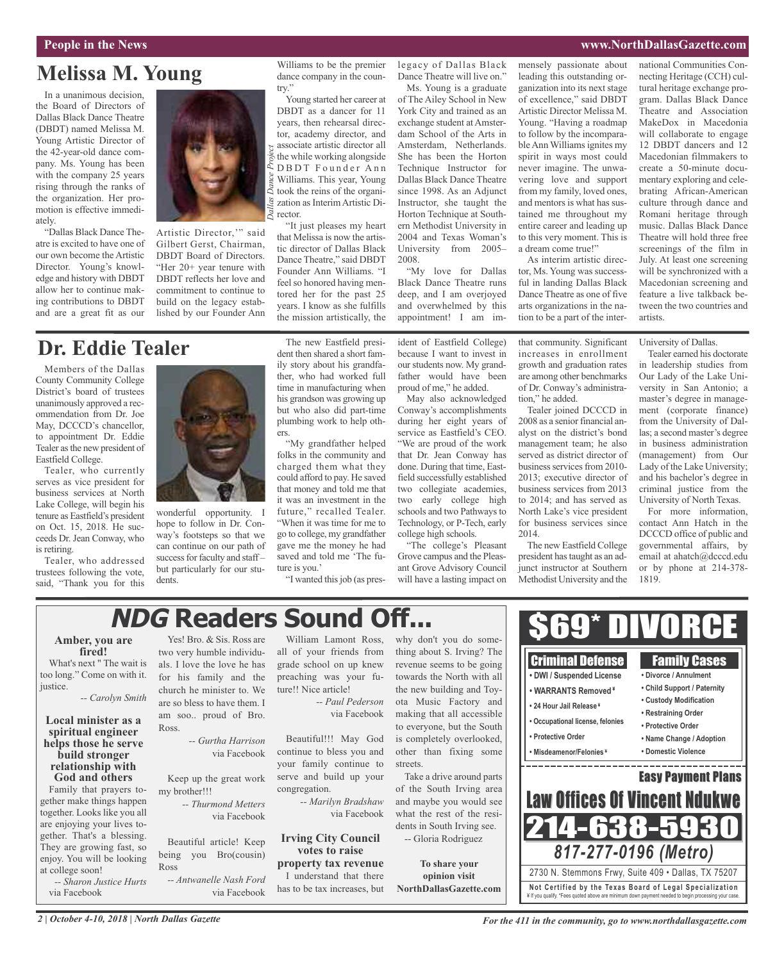## **Melissa M. Young**

In a unanimous decision, the Board of Directors of Dallas Black Dance Theatre (DBDT) named Melissa M. Young Artistic Director of the 42-year-old dance company. Ms. Young has been with the company 25 years rising through the ranks of the organization. Her promotion is effective immediately.

"Dallas Black Dance Theatre is excited to have one of our own become the Artistic Director. Young's knowledge and history with DBDT allow her to continue making contributions to DBDT and are a great fit as our



try."

rector.

*Dallas Dance Project*

Young started her career at DBDT as a dancer for 11 years, then rehearsal director, academy director, and associate artistic director all the while working alongside D B D T Founder Ann Williams. This year, Young took the reins of the organization as Interim Artistic Di-

"It just pleases my heart that Melissa is now the artistic director of Dallas Black Dance Theatre," said DBDT Founder Ann Williams. "I feel so honored having mentored her for the past 25 years. I know as she fulfills the mission artistically, the

Artistic Director,'" said Gilbert Gerst, Chairman, DBDT Board of Directors. "Her 20+ year tenure with DBDT reflects her love and commitment to continue to build on the legacy established by our Founder Ann

## **Dr. Eddie Tealer**

Members of the Dallas County Community College District's board of trustees unanimously approved a recommendation from Dr. Joe May, DCCCD's chancellor, to appointment Dr. Eddie Tealer asthe new president of Eastfield College.

Tealer, who currently serves as vice president for business services at North Lake College, will begin his tenure as Eastfield's president on Oct. 15, 2018. He succeeds Dr. Jean Conway, who is retiring.

Tealer, who addressed trustees following the vote, said, "Thank you for this

wonderful opportunity. I hope to follow in Dr. Conway's footsteps so that we can continue on our path of success for faculty and staffbut particularly for our students.

The new Eastfield president then shared a short family story about his grandfather, who had worked full time in manufacturing when his grandson was growing up but who also did part-time plumbing work to help others.

"My grandfather helped folks in the community and charged them what they could afford to pay. He saved that money and told me that it was an investment in the future," recalled Tealer. "When it was time for me to go to college, my grandfather gave me the money he had saved and told me 'The future is you.'

"I wanted this job (as pres-

Williams to be the premier dance company in the counlegacy of Dallas Black Dance Theatre will live on." Ms. Young is a graduate

of The Ailey School in New York City and trained as an exchange student atAmsterdam School of the Arts in Amsterdam, Netherlands. She has been the Horton Technique Instructor for Dallas Black Dance Theatre since 1998. As an Adjunct Instructor, she taught the Horton Technique at Southern Methodist University in 2004 and Texas Woman's University from 2005– 2008.

"My love for Dallas Black Dance Theatre runs deep, and I am overjoyed and overwhelmed by this appointment! I am im-

ident of Eastfield College) because I want to invest in our students now. My grandfather would have been proud of me," he added. May also acknowledged Conway's accomplishments during her eight years of service as Eastfield's CEO. "We are proud of the work that Dr. Jean Conway has done. During that time, Eastfield successfully established two collegiate academies, two early college high schools and two Pathways to Technology, or P-Tech, early college high schools.

mensely passionate about leading this outstanding organization into its next stage of excellence," said DBDT Artistic Director Melissa M. Young. "Having a roadmap to follow by the incomparableAnn Williams ignites my spirit in ways most could never imagine. The unwavering love and support from my family, loved ones, and mentors is what has sustained me throughout my entire career and leading up to this very moment. This is a dream come true!"

As interim artistic director, Ms. Young was successful in landing Dallas Black Dance Theatre as one of five arts organizations in the nation to be a part of the inter-

that community. Significant increases in enrollment growth and graduation rates are among other benchmarks of Dr. Conway's administration," he added.

Tealer joined DCCCD in 2008 as a senior financial analyst on the district's bond management team; he also served as district director of business services from 2010-2013; executive director of business services from 2013 to 2014; and has served as North Lake's vice president for business services since 2014.

The new Eastfield College president hastaught as an adjunct instructor at Southern Methodist University and the national Communities Connecting Heritage (CCH) cultural heritage exchange program. Dallas Black Dance Theatre and Association MakeDox in Macedonia will collaborate to engage 12 DBDT dancers and 12 Macedonian filmmakers to create a 50-minute documentary exploring and celebrating African-American culture through dance and Romani heritage through music. Dallas Black Dance Theatre will hold three free screenings of the film in July. At least one screening will be synchronized with a Macedonian screening and feature a live talkback between the two countries and artists.

#### University of Dallas.

Tealer earned his doctorate in leadership studies from Our Lady of the Lake University in San Antonio; a master's degree in management (corporate finance) from the University of Dallas; a second master's degree in business administration (management) from Our Lady of the Lake University; and his bachelor's degree in criminal justice from the University of North Texas.

For more information, contact Ann Hatch in the DCCCD office of public and governmental affairs, by email at ahatch@dcccd.edu or by phone at 214-378- 1819.

# **NDG Readers Sound Off...**

**Amber, you are fired!** What's next " The wait is too long." Come on with it. justice.

*-- Carolyn Smith*

#### **Local minister as a spiritual engineer helps those he serve build stronger relationship with God and others**

Family that prayers together make things happen together. Looks like you all are enjoying your lives together. That's a blessing. They are growing fast, so enjoy. You will be looking at college soon!

*-- Sharon Justice Hurts* via Facebook

Yes! Bro. & Sis. Ross are two very humble individuals. I love the love he has for his family and the church he minister to. We are so bless to have them. I am soo.. proud of Bro. Ross.

> *-- Gurtha Harrison* via Facebook

Keep up the great work my brother!!!

> *-- Thurmond Metters* via Facebook

Beautiful article! Keep being you Bro(cousin) Ross

*-- Antwanelle Nash Ford* via Facebook

William Lamont Ross, all of your friends from grade school on up knew preaching was your future!! Nice article!

*-- Paul Pederson* via Facebook

Beautiful!!! May God continue to bless you and your family continue to serve and build up your congregation.

> *-- Marilyn Bradshaw* via Facebook

**Irving City Council votes to raise property tax revenue** I understand that there has to be tax increases, but why don't you do something about S. Irving? The revenue seems to be going towards the North with all the new building and Toyota Music Factory and making that all accessible to everyone, but the South is completely overlooked, other than fixing some streets.

"The college's Pleasant Grove campus and the Pleasant Grove Advisory Council will have a lasting impact on

Take a drive around parts of the South Irving area and maybe you would see what the rest of the residents in South Irving see. -- Gloria Rodriguez

**To share your opinion visit NorthDallasGazette.com**



#### **People in the News www.NorthDallasGazette.com**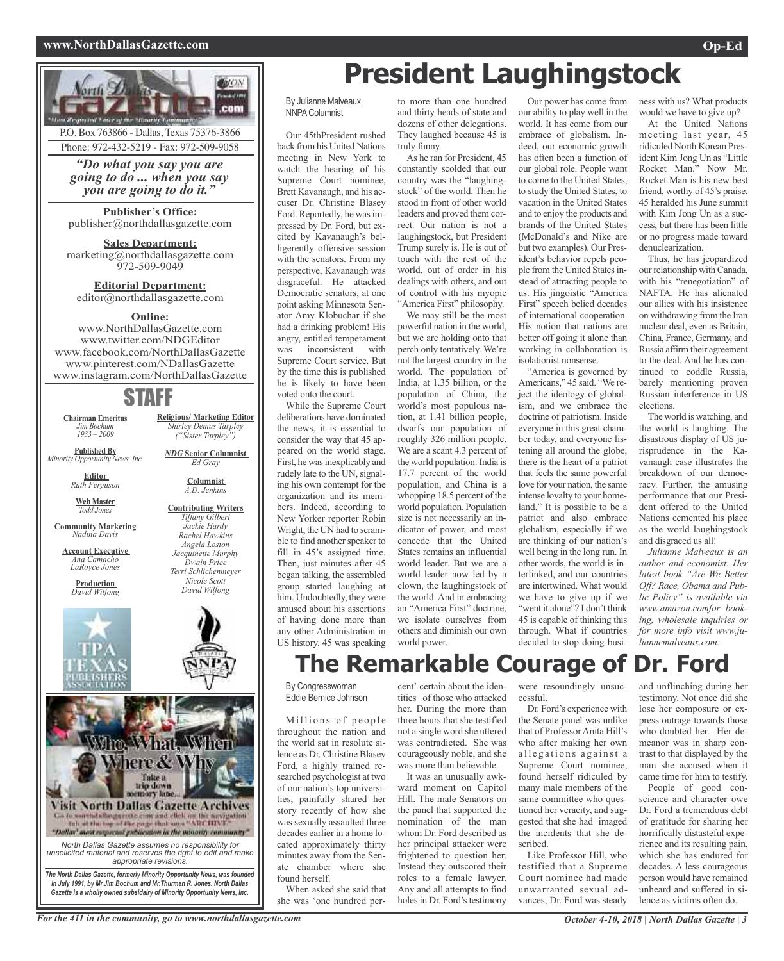#### **www.NorthDallasGazette.com Op-Ed**



# **President Laughingstock**

By Julianne Malveaux NNPAColumnist

Our 45thPresident rushed back from his United Nations meeting in New York to watch the hearing of his Supreme Court nominee, Brett Kavanaugh, and his accuser Dr. Christine Blasey Ford. Reportedly, he wasimpressed by Dr. Ford, but excited by Kavanaugh's belligerently offensive session with the senators. From my perspective, Kavanaugh was disgraceful. He attacked Democratic senators, at one point asking Minnesota Senator Amy Klobuchar if she had a drinking problem! His angry, entitled temperament was inconsistent with Supreme Court service. But by the time this is published he is likely to have been voted onto the court.

While the Supreme Court deliberations have dominated the news, it is essential to consider the way that 45 appeared on the world stage. First, he was inexplicably and rudely late to the UN, signaling his own contempt for the organization and its members. Indeed, according to New Yorker reporter Robin Wright, the UN had to scramble to find another speaker to fill in 45's assigned time. Then, just minutes after 45 began talking, the assembled group started laughing at him. Undoubtedly, they were amused about his assertions of having done more than any other Administration in US history. 45 was speaking

to more than one hundred and thirty heads of state and dozens of other delegations. They laughed because 45 is truly funny.

As he ran for President, 45 constantly scolded that our country was the "laughingstock" of the world. Then he stood in front of other world leaders and proved them correct. Our nation is not a laughingstock, but President Trump surely is. He is out of touch with the rest of the world, out of order in his dealings with others, and out of control with his myopic "America First" philosophy.

We may still be the most powerful nation in the world, but we are holding onto that perch only tentatively. We're not the largest country in the world. The population of India, at 1.35 billion, or the population of China, the world's most populous nation, at 1.41 billion people, dwarfs our population of roughly 326 million people. We are a scant 4.3 percent of the world population. India is 17.7 percent of the world population, and China is a whopping 18.5 percent of the world population. Population size is not necessarily an indicator of power, and most concede that the United States remains an influential world leader. But we are a world leader now led by a clown, the laughingstock of the world. And in embracing an "America First" doctrine, we isolate ourselves from others and diminish our own world power.

Our power has come from our ability to play well in the world. It has come from our embrace of globalism. Indeed, our economic growth has often been a function of our global role. People want to come to the United States, to study the United States, to vacation in the United States and to enjoy the products and brands of the United States (McDonald's and Nike are but two examples). Our President's behavior repels people from the United States instead of attracting people to us. His jingoistic "America First" speech belied decades of international cooperation. His notion that nations are better off going it alone than working in collaboration is isolationist nonsense.

"America is governed by Americans," 45 said. "We reject the ideology of globalism, and we embrace the doctrine of patriotism. Inside everyone in this great chamber today, and everyone listening all around the globe, there is the heart of a patriot that feels the same powerful love for your nation, the same intense loyalty to your homeland." It is possible to be a patriot and also embrace globalism, especially if we are thinking of our nation's well being in the long run. In other words, the world is interlinked, and our countries are intertwined. What would we have to give up if we "went it alone"? I don't think 45 is capable of thinking this through. What if countries decided to stop doing business with us? What products would we have to give up?

At the United Nations meeting last year, 45 ridiculed North Korean President Kim Jong Un as "Little Rocket Man." Now Mr. Rocket Man is his new best friend, worthy of 45's praise. 45 heralded his June summit with Kim Jong Un as a success, but there has been little or no progress made toward denuclearization.

Thus, he has jeopardized our relationship with Canada, with his "renegotiation" of NAFTA. He has alienated our allies with his insistence on withdrawing from the Iran nuclear deal, even as Britain, China, France, Germany, and Russia affirm their agreement to the deal. And he has continued to coddle Russia, barely mentioning proven Russian interference in US elections.

The world is watching, and the world is laughing. The disastrous display of US jurisprudence in the Kavanaugh case illustrates the breakdown of our democracy. Further, the amusing performance that our President offered to the United Nations cemented his place as the world laughingstock and disgraced us all!

*Julianne Malveaux is an author and economist. Her latest book "Are We Better Off? Race, Obama and Public Policy" is available via www.amazon.comfor booking, wholesale inquiries or for more info visit www.juliannemalveaux.com.*

# **The Remarkable Courage of Dr. Ford**

By Congresswoman Eddie Bernice Johnson

Millions of people throughout the nation and the world sat in resolute silence as Dr. Christine Blasey Ford, a highly trained researched psychologist at two of our nation's top universities, painfully shared her story recently of how she was sexually assaulted three decades earlier in a home located approximately thirty minutes away from the Senate chamber where she found herself.

When asked she said that she was 'one hundred percent' certain about the identities of those who attacked her. During the more than three hours that she testified not a single word she uttered was contradicted. She was courageously noble, and she was more than believable.

It was an unusually awkward moment on Capitol Hill. The male Senators on the panel that supported the nomination of the man whom Dr. Ford described as her principal attacker were frightened to question her. Instead they outscored their roles to a female lawyer. Any and all attempts to find holes in Dr. Ford's testimony

were resoundingly unsuccessful.

Dr. Ford's experience with the Senate panel was unlike that of Professor Anita Hill's who after making her own allegations against a Supreme Court nominee, found herself ridiculed by many male members of the same committee who questioned her veracity, and suggested that she had imaged the incidents that she described.

Like Professor Hill, who testified that a Supreme Court nominee had made unwarranted sexual advances, Dr. Ford was steady

and unflinching during her testimony. Not once did she lose her composure or express outrage towards those who doubted her. Her demeanor was in sharp contrast to that displayed by the man she accused when it came time for him to testify.

People of good conscience and character owe Dr. Ford a tremendous debt of gratitude for sharing her horrifically distasteful experience and its resulting pain, which she has endured for decades. A less courageous person would have remained unheard and suffered in silence as victims often do.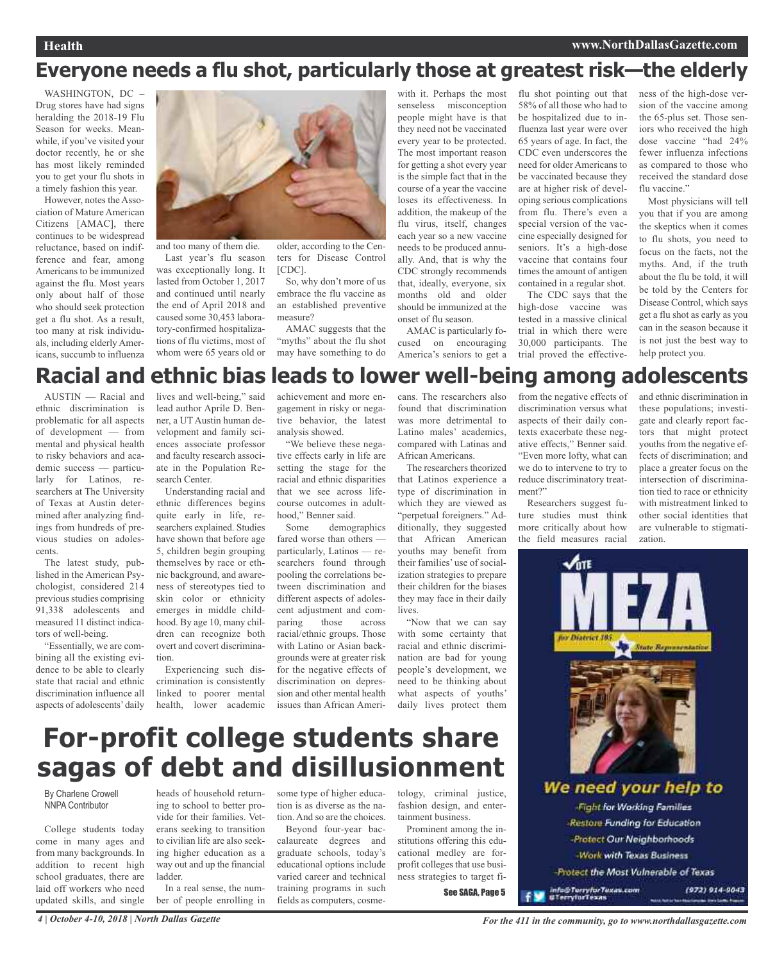#### **Health www.NorthDallasGazette.com**

# **Everyone needs a flu shot, particularly those at greatest risk—the elderly**

WASHINGTON, DC -Drug stores have had signs heralding the 2018-19 Flu Season for weeks. Meanwhile, if you've visited your doctor recently, he or she has most likely reminded you to get your flu shots in a timely fashion this year.

However, notes the Association of Mature American Citizens [AMAC], there continues to be widespread reluctance, based on indifference and fear, among Americans to be immunized against the flu. Most years only about half of those who should seek protection get a flu shot. As a result, too many at risk individuals, including elderly Americans, succumb to influenza



and too many of them die. Last year's flu season was exceptionally long. It lasted from October 1, 2017 and continued until nearly the end of April 2018 and caused some 30,453 laboratory-confirmed hospitalizations of flu victims, most of whom were 65 years old or

older, according to the Centers for Disease Control [CDC]. So, why don't more of us

embrace the flu vaccine as an established preventive measure?

AMAC suggests that the "myths" about the flu shot may have something to do

with it. Perhaps the most senseless misconception people might have is that they need not be vaccinated every year to be protected. The most important reason for getting a shot every year is the simple fact that in the course of a year the vaccine loses its effectiveness. In addition, the makeup of the flu virus, itself, changes each year so a new vaccine needs to be produced annually. And, that is why the CDC strongly recommends that, ideally, everyone, six months old and older should be immunized at the onset of flu season.

AMAC is particularly focused on encouraging America's seniors to get a flu shot pointing out that 58% of all those who had to be hospitalized due to influenza last year were over 65 years of age. In fact, the CDC even underscores the need for older Americans to be vaccinated because they are at higher risk of developing serious complications from flu. There's even a special version of the vaccine especially designed for seniors. It's a high-dose vaccine that contains four times the amount of antigen contained in a regular shot.

The CDC says that the high-dose vaccine was tested in a massive clinical trial in which there were 30,000 participants. The trial proved the effective-

ness of the high-dose version of the vaccine among the 65-plus set. Those seniors who received the high dose vaccine "had 24% fewer influenza infections as compared to those who received the standard dose flu vaccine."

Most physicians will tell you that if you are among the skeptics when it comes to flu shots, you need to focus on the facts, not the myths. And, if the truth about the flu be told, it will be told by the Centers for Disease Control, which says get a flu shot as early as you can in the season because it is not just the best way to help protect you.

# **Racial and ethnic bias leads to lower well-being among adolescents**

AUSTIN — Racial and ethnic discrimination is problematic for all aspects of development — from mental and physical health to risky behaviors and academic success — particularly for Latinos, researchers at The University of Texas at Austin determined after analyzing findings from hundreds of previous studies on adolescents.

The latest study, published in the American Psychologist, considered 214 previous studies comprising 91,338 adolescents and measured 11 distinct indicators of well-being.

"Essentially, we are combining all the existing evidence to be able to clearly state that racial and ethnic discrimination influence all aspects of adolescents' daily

lives and well-being," said lead author Aprile D. Benner, a UT Austin human development and family sciences associate professor and faculty research associate in the Population Research Center.

Understanding racial and ethnic differences begins quite early in life, researchers explained. Studies have shown that before age 5, children begin grouping themselves by race or ethnic background, and awareness of stereotypes tied to skin color or ethnicity emerges in middle childhood. By age 10, many children can recognize both overt and covert discrimination.

Experiencing such discrimination is consistently linked to poorer mental health, lower academic achievement and more engagement in risky or negative behavior, the latest analysis showed.

"We believe these negative effects early in life are setting the stage for the racial and ethnic disparities that we see across lifecourse outcomes in adulthood," Benner said.

Some demographics fared worse than others particularly, Latinos — researchers found through pooling the correlations between discrimination and different aspects of adolescent adjustment and comparing those across racial/ethnic groups. Those with Latino or Asian backgrounds were at greater risk for the negative effects of discrimination on depression and other mental health issues than African Ameri-

cans. The researchers also found that discrimination was more detrimental to Latino males' academics, compared with Latinas and African Americans.

The researchers theorized that Latinos experience a type of discrimination in which they are viewed as "perpetual foreigners." Additionally, they suggested that African American youths may benefit from their families' use of socialization strategies to prepare their children for the biases they may face in their daily lives.

"Now that we can say with some certainty that racial and ethnic discrimination are bad for young people's development, we need to be thinking about what aspects of youths' daily lives protect them

from the negative effects of discrimination versus what aspects of their daily contexts exacerbate these negative effects," Benner said. "Even more lofty, what can we do to intervene to try to reduce discriminatory treatment?"

Researchers suggest future studies must think more critically about how the field measures racial

and ethnic discrimination in these populations; investigate and clearly report factors that might protect youths from the negative effects of discrimination; and place a greater focus on the intersection of discrimination tied to race or ethnicity with mistreatment linked to other social identities that are vulnerable to stigmatization.



Protect the Most Vulnerable of Texas

(972) 914-9043

# **For-profit college students share sagas of debt and disillusionment**

By Charlene Crowell NNPA Contributor

College students today come in many ages and from many backgrounds. In addition to recent high school graduates, there are laid off workers who need updated skills, and single heads of household returning to school to better provide for their families. Veterans seeking to transition to civilian life are also seeking higher education as a way out and up the financial ladder.

In a real sense, the number of people enrolling in

some type of higher education is as diverse as the nation. And so are the choices.

Beyond four-year baccalaureate degrees and graduate schools, today's educational options include varied career and technical training programs in such fields as computers, cosme-

tology, criminal justice, fashion design, and entertainment business.

Prominent among the institutions offering this educational medley are forprofit colleges that use business strategies to target fi-

See SAGA, Page 5

info@TerrylorTexas.com<br>#TerrylorTexas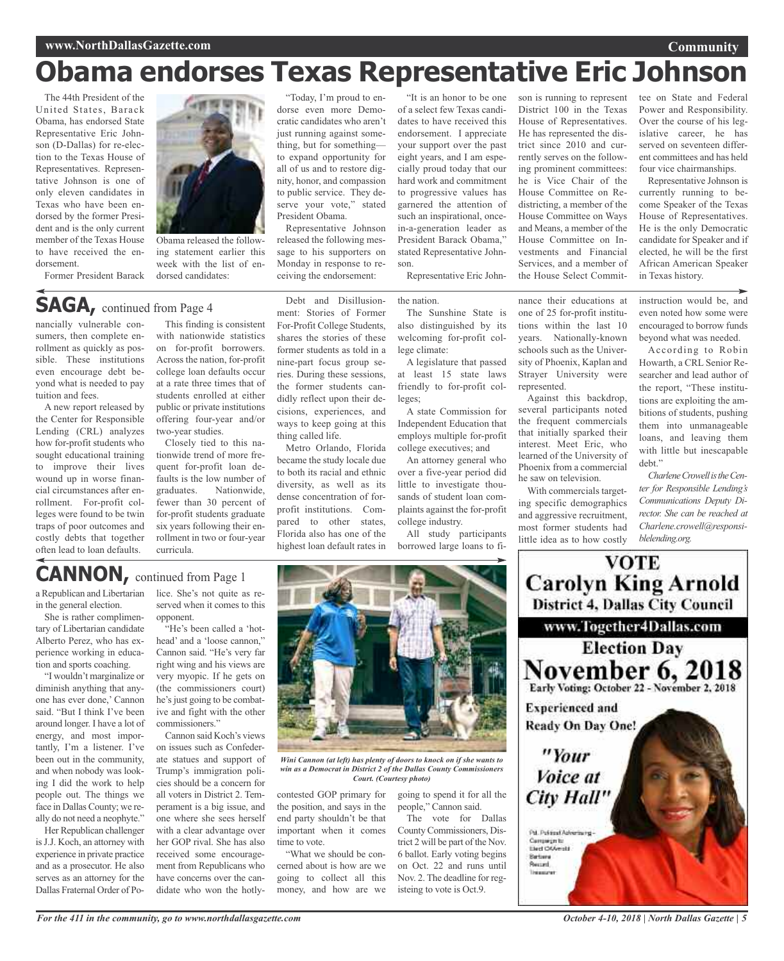# **Obama endorses Texas Representative Eric Johnson**

The 44th President of the United States, Barack Obama, has endorsed State Representative Eric Johnson (D-Dallas) for re-election to the Texas House of Representatives. Representative Johnson is one of only eleven candidates in Texas who have been endorsed by the former President and is the only current member of the Texas House to have received the endorsement.

Former President Barack



Obama released the following statement earlier this week with the list of en-

"Today, I'm proud to endorse even more Democratic candidates who aren't just running against something, but for something to expand opportunity for all of us and to restore dignity, honor, and compassion to public service. They deserve your vote," stated President Obama.

Representative Johnson released the following message to his supporters on Monday in response to receiving the endorsement:

"It is an honor to be one of a select few Texas candidates to have received this endorsement. I appreciate your support over the past eight years, and I am especially proud today that our hard work and commitment to progressive values has garnered the attention of such an inspirational, oncein-a-generation leader as President Barack Obama," stated Representative Johnson.

Representative Eric John-

son is running to represent District 100 in the Texas House of Representatives. He has represented the district since 2010 and currently serves on the following prominent committees: he is Vice Chair of the House Committee on Redistricting, a member of the House Committee on Ways and Means, a member of the House Committee on Investments and Financial Services, and a member of the House Select Commit-

nance their educations at one of 25 for-profit institutions within the last 10 years. Nationally-known schools such as the University of Phoenix, Kaplan and Strayer University were

Against this backdrop, several participants noted the frequent commercials that initially sparked their interest. Meet Eric, who learned of the University of Phoenix from a commercial he saw on television.

With commercials targeting specific demographics and aggressive recruitment, most former students had

represented.

tee on State and Federal Power and Responsibility. Over the course of his legislative career, he has served on seventeen different committees and has held four vice chairmanships.

Representative Johnson is currently running to become Speaker of the Texas House of Representatives. He is the only Democratic candidate for Speaker and if elected, he will be the first African American Speaker in Texas history.

instruction would be, and even noted how some were encouraged to borrow funds beyond what was needed.

According to Robin Howarth, a CRL Senior Researcher and lead author of the report, "These institutions are exploiting the ambitions of students, pushing them into unmanageable loans, and leaving them with little but inescapable debt."

*CharleneCrowellistheCenter for Responsible Lending's Communications Deputy Director. She can be reached at Charlene.crowell@responsiblelending.org.*

dorsed candidates: **SAGA,** continued from Page <sup>4</sup>

nancially vulnerable consumers, then complete enrollment as quickly as possible. These institutions even encourage debt beyond what is needed to pay tuition and fees.

A new report released by the Center for Responsible Lending (CRL) analyzes how for-profit students who sought educational training to improve their lives wound up in worse financial circumstances after enrollment. For-profit colleges were found to be twin traps of poor outcomes and costly debts that together often lead to loan defaults.

This finding is consistent with nationwide statistics on for-profit borrowers. Across the nation, for-profit college loan defaults occur at a rate three times that of students enrolled at either public or private institutions offering four-year and/or two-year studies.

Closely tied to this nationwide trend of more frequent for-profit loan defaults is the low number of graduates. Nationwide, fewer than 30 percent of for-profit students graduate six years following their enrollment in two or four-year curricula.

Debt and Disillusionment: Stories of Former For-Profit College Students, shares the stories of these former students as told in a nine-part focus group series. During these sessions, the former students candidly reflect upon their decisions, experiences, and ways to keep going at this thing called life.

Metro Orlando, Florida became the study locale due to both its racial and ethnic diversity, as well as its dense concentration of forprofit institutions. Compared to other states, Florida also has one of the highest loan default rates in The Sunshine State is

the nation.

also distinguished by its welcoming for-profit college climate:

A legislature that passed at least 15 state laws friendly to for-profit colleges;

A state Commission for Independent Education that employs multiple for-profit college executives; and

An attorney general who over a five-year period did little to investigate thousands of student loan complaints against the for-profit college industry.

All study participants borrowed large loans to fi-

# **CANNON,** continued from Page <sup>1</sup>

a Republican and Libertarian in the general election.

She is rather complimentary of Libertarian candidate Alberto Perez, who has experience working in education and sports coaching.

"I wouldn't marginalize or diminish anything that anyone has ever done,' Cannon said. "But I think I've been around longer. I have a lot of energy, and most importantly, I'm a listener. I've been out in the community, and when nobody was looking I did the work to help people out. The things we face in Dallas County; we really do not need a neophyte."

Her Republican challenger isJ.J. Koch, an attorney with experience in private practice and as a prosecutor. He also serves as an attorney for the Dallas Fraternal Order of Police. She's not quite as reserved when it comes to this opponent.

"He's been called a 'hothead' and a 'loose cannon," Cannon said. "He's very far right wing and his views are very myopic. If he gets on (the commissioners court) he's just going to be combative and fight with the other commissioners."

Cannon said Koch's views on issues such as Confederate statues and support of Trump's immigration policies should be a concern for all voters in District 2. Temperament is a big issue, and one where she sees herself with a clear advantage over her GOP rival. She has also received some encouragement from Republicans who have concerns over the candidate who won the hotly-



*Wini Cannon (at left) has plenty of doors to knock on if she wants to win as a Democrat in District 2 of the Dallas County Commissioners Court. (Courtesy photo)*

contested GOP primary for the position, and says in the end party shouldn't be that important when it comes time to vote.

"What we should be concerned about is how are we going to collect all this money, and how are we

going to spend it for all the people," Cannon said.

The vote for Dallas County Commissioners, District 2 will be part of the Nov. 6 ballot. Early voting begins on Oct. 22 and runs until Nov. 2. The deadline for registeing to vote is Oct.9.



*October 4-10, 2018 | North Dallas Gazette | 5*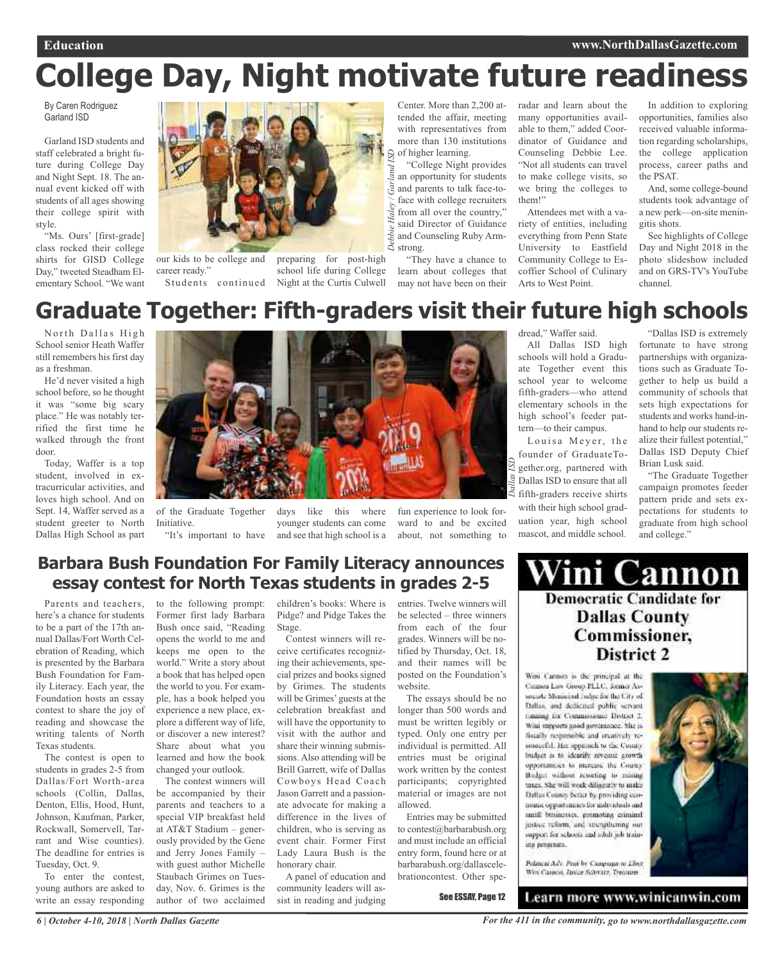# **College Day, Night motivate future readiness**

By Caren Rodriguez Garland ISD

Garland ISD students and staff celebrated a bright future during College Day and Night Sept. 18. The annual event kicked off with students of all ages showing their college spirit with style.

"Ms. Ours' [first-grade] class rocked their college shirts for GISD College Day," tweeted Steadham Elementary School. "We want



our kids to be college and career ready." Students continued

preparing for post-high school life during College Night at the Curtis Culwell

Center. More than 2,200 attended the affair, meeting with representatives from more than 130 institutions of higher learning.

*Debbie Haley / Garland ISD* "College Night provides an opportunity for students and parents to talk face-toface with college recruiters from all over the country," said Director of Guidance Debbie and Counseling Ruby Armstrong.

"They have a chance to learn about colleges that may not have been on their

radar and learn about the many opportunities available to them," added Coordinator of Guidance and Counseling Debbie Lee. "Not all students can travel to make college visits, so we bring the colleges to them!"

Attendees met with a variety of entities, including everything from Penn State University to Eastfield Community College to Escoffier School of Culinary Arts to West Point.

All Dallas ISD high

Louisa Meyer, the

In addition to exploring opportunities, families also received valuable information regarding scholarships, the college application process, career paths and the PSAT.

And, some college-bound students took advantage of a new perk—on-site meningitis shots.

See highlights of College Day and Night 2018 in the photo slideshow included and on GRS-TV's YouTube channel.

"Dallas ISD is extremely fortunate to have strong partnerships with organizations such as Graduate Together to help us build a community of schools that sets high expectations for students and works hand-inhand to help our students realize their fullest potential," Dallas ISD Deputy Chief

## **Graduate Together: Fifth-graders visit their future high schools**

North Dallas High School senior Heath Waffer still remembers his first day as a freshman.

He'd never visited a high school before, so he thought it was "some big scary place." He was notably terrified the first time he walked through the front door.

Today, Waffer is a top student, involved in extracurricular activities, and loves high school. And on Sept. 14, Waffer served as a student greeter to North Dallas High School as part



of the Graduate Together Initiative.

"It's important to have and see that high school is a days like this where younger students can come

fun experience to look forward to and be excited about, not something to

## **Barbara Bush Foundation For Family Literacy announces essay contest for North Texas students in grades 2-5**

Parents and teachers, here's a chance for students to be a part of the 17th annual Dallas/Fort Worth Celebration of Reading, which is presented by the Barbara Bush Foundation for Family Literacy. Each year, the Foundation hosts an essay contest to share the joy of reading and showcase the writing talents of North Texas students.

The contest is open to students in grades 2-5 from Dallas/Fort Worth-area schools (Collin, Dallas, Denton, Ellis, Hood, Hunt, Johnson, Kaufman, Parker, Rockwall, Somervell, Tarrant and Wise counties). The deadline for entries is Tuesday, Oct. 9.

To enter the contest, young authors are asked to write an essay responding

to the following prompt: Former first lady Barbara Bush once said, "Reading opens the world to me and keeps me open to the world." Write a story about a book that has helped open the world to you. For example, has a book helped you experience a new place, explore a different way of life, or discover a new interest? Share about what you learned and how the book changed your outlook. The contest winners will

be accompanied by their parents and teachers to a special VIP breakfast held at AT&T Stadium – generously provided by the Gene and Jerry Jones Family – with guest author Michelle Staubach Grimes on Tuesday, Nov. 6. Grimes is the author of two acclaimed

children's books: Where is Pidge? and Pidge Takes the Stage.

Contest winners will receive certificates recognizing their achievements, special prizes and books signed by Grimes. The students will be Grimes' guests at the celebration breakfast and will have the opportunity to visit with the author and share their winning submissions. Also attending will be Brill Garrett, wife of Dallas Cowboys Head Coach Jason Garrett and a passionate advocate for making a difference in the lives of children, who is serving as event chair. Former First Lady Laura Bush is the honorary chair.

A panel of education and community leaders will assist in reading and judging

entries. Twelve winners will be selected – three winners from each of the four grades. Winners will be notified by Thursday, Oct. 18, and their names will be posted on the Foundation's website.

The essays should be no longer than 500 words and must be written legibly or typed. Only one entry per individual is permitted. All entries must be original work written by the contest participants; copyrighted material or images are not allowed.

Entries may be submitted to contest@barbarabush.org and must include an official entry form, found here or at barbarabush.org/dallascelebrationcontest. Other spe-

See ESSAY, Page 12

 $\frac{1}{2}$  gether.org, partnered with "The Graduate Together Dallas ISD to ensure that all campaign promotes feeder fifth-graders receive shirts pattern pride and sets exwith their high school gradpectations for students to uation year, high school graduate from high school mascot, and middle school. and college." ni Cannon **Democratic Candidate for Dallas County** 

Brian Lusk said.

Commissioner, District 2

Wini Cannon is the principal at the Cannon Law Group PLLC, former Assecurity Mentioned Induction the City of Dallas, and dedicated public servant framing for Commissioner District 2. Wini surgeorts nood novemance. She isfiscally responsible and creatively resourceful. Her opptunch to the County. budget in to identify revenue growth opportunities to increase the Councy. Bodget without resorting to mising taxes. She will week dilinearly to make Dallas County befur by providing cennomic opportunities for individuals and small businesses, promoting criminal justice ruform, and strengthening our support for schools and adult job training programs.

Pelatical Adv. Pacif by Company to Libert Wey Cannot, Junior Schwarz, Treasurer



*For the 411 in the community, go to www.northdallasgazette.com*

Learn more www.winicanwin.com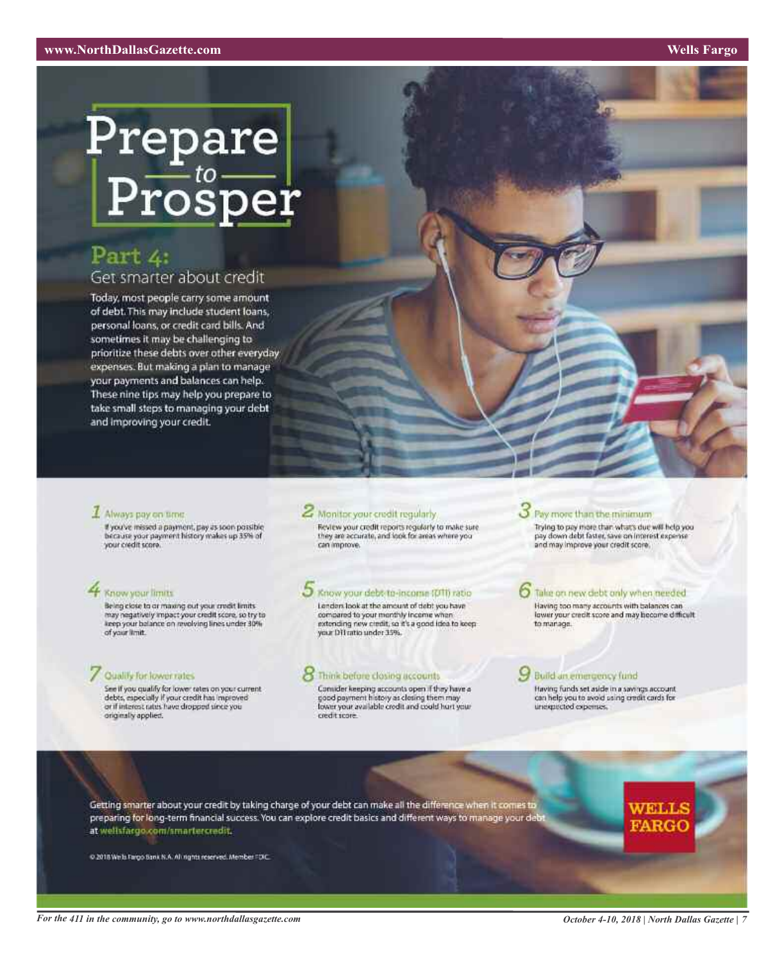# Prepare<br>Prosper

## Part 4: Get smarter about credit

Today, most people carry some amount of debt. This may include student loans, personal loans, or credit card bills. And sometimes it may be challenging to prioritize these debts over other everyday expenses. But making a plan to manage your payments and balances can help. These nine tips may help you prepare to take small steps to managing your debt and improving your credit.

#### $I$  Always pay on time.

If you've missed a payment, pay as soon possible<br>because your payment history makes up 35% of your credit score.

## **Know your limits**

Being close to ar maxing out your credit limits may negatively impact your credit score, so try to keep your balance on revolving lines under 30% of your limit.

#### Qualify for lower rates

See if you qualify for lower rates on your current debts, especially if your credit has improved or if interest rates have dropped since you originally applied.

#### Monitor your credit regularly,

Review your credit reports regularly to make sure they are accurate, and look for amas where you can improve.

#### Xnow your debt-to-income (Off) ratio

London look at the amount of debt you have compared to your monthly income when extending new credit, so it's a good idea to keep your Diffratio under 35%.

## Think before closing accounts

Consider keeping accounts open if they have a good payment history as closing them may<br>lower your available credit and could hurt your credit roore.

3 Pay more than the minimum

Trying to pay more than what's due will help you pay down debt faster, save on interest expense. and may improve your credit score.

#### C Take on new debt only when needed

Having too many accounts with balances can lower your credit score and may become difficult to manage.

#### 9 Build an emergency fund

Having funds set aside in a savings account can help you to avoid using credit cards for unexpected expenses.

Getting smarter about your credit by taking charge of your debt can make all the difference when it comes to preparing for long-term financial success. You can explore credit basics and different ways to manage your debt at wellsfargo.com/smartercredit.

@ 2018 We b Fargo Bank N.A. All rights reserved. Member FDIC.



WELLS

FARGO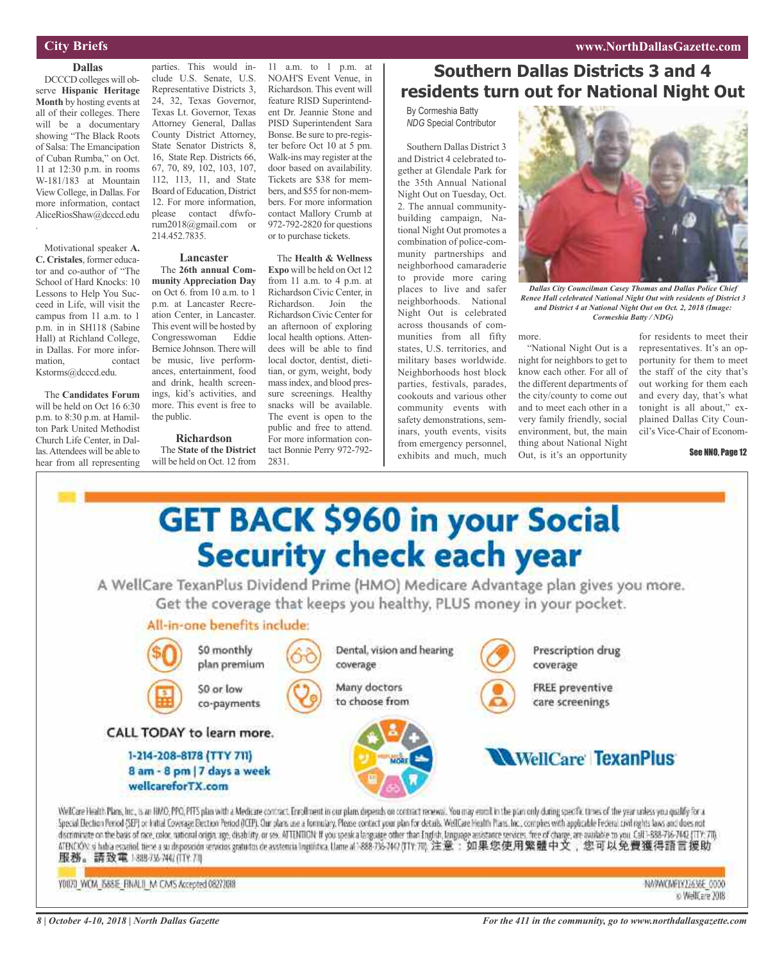#### **www.NorthDallasGazette.com**

#### **City Briefs**

## **Dallas**

DCCCD colleges will observe **Hispanic Heritage Month** by hosting events at all of their colleges. There will be a documentary showing "The Black Roots of Salsa: The Emancipation of Cuban Rumba," on Oct. 11 at 12:30 p.m. in rooms W-181/183 at Mountain View College, in Dallas. For more information, contact AliceRiosShaw@dcccd.edu .

Motivational speaker **A. C. Cristales**, former educator and co-author of "The School of Hard Knocks: 10 Lessons to Help You Succeed in Life, will visit the campus from 11 a.m. to 1 p.m. in in SH118 (Sabine Hall) at Richland College, in Dallas. For more information, contact Kstorms@dcccd.edu.

The **Candidates Forum** will be held on Oct 16 6:30 p.m. to 8:30 p.m. at Hamilton Park United Methodist Church Life Center, in Dallas.Attendees will be able to hear from all representing

parties. This would include U.S. Senate, U.S. Representative Districts 3, 24, 32, Texas Governor, Texas Lt. Governor, Texas Attorney General, Dallas County District Attorney, State Senator Districts 8, 16, State Rep. Districts 66, 67, 70, 89, 102, 103, 107, 112, 113, 11, and State Board of Education, District 12. For more information, please contact dfwforum2018@gmail.com or 214.452.7835.

## **Lancaster**

The **26th annual Community Appreciation Day** on Oct 6. from 10 a.m. to 1 p.m. at Lancaster Recreation Center, in Lancaster. This event will be hosted by Congresswoman Eddie Bernice Johnson.There will be music, live performances, entertainment, food and drink, health screenings, kid's activities, and more. This event is free to the public.

### **Richardson**

#### The **State of the District** will be held on Oct. 12 from

11 a.m. to 1 p.m. at NOAH'S Event Venue, in Richardson. This event will feature RISD Superintendent Dr. Jeannie Stone and PISD Superintendent Sara Bonse. Be sure to pre-register before Oct 10 at 5 pm. Walk-ins may register at the door based on availability. Tickets are \$38 for members, and \$55 for non-members. For more information contact Mallory Crumb at 972-792-2820 for questions or to purchase tickets.

The **Health & Wellness Expo** will be held on Oct 12 from 11 a.m. to 4 p.m. at Richardson Civic Center, in Richardson. Join the Richardson Civic Center for an afternoon of exploring local health options. Attendees will be able to find local doctor, dentist, dietitian, or gym, weight, body massindex, and blood pressure screenings. Healthy snacks will be available. The event is open to the public and free to attend. For more information contact Bonnie Perry 972-792- 2831.

## **Southern Dallas Districts 3 and 4 residents turn out for National Night Out**

By Cormeshia Batty *NDG* Special Contributor

Southern Dallas District 3 and District 4 celebrated together at Glendale Park for the 35th Annual National Night Out on Tuesday, Oct. 2. The annual communitybuilding campaign, National Night Out promotes a combination of police-community partnerships and neighborhood camaraderie to provide more caring places to live and safer neighborhoods. National Night Out is celebrated across thousands of communities from all fifty states, U.S. territories, and military bases worldwide. Neighborhoods host block parties, festivals, parades, cookouts and various other community events with safety demonstrations, seminars, youth events, visits from emergency personnel, exhibits and much, much



*Dallas City Councilman Casey Thomas and Dallas Police Chief Renee Hall celebrated National Night Out with residents of District 3 and District 4 at National Night Out on Oct. 2, 2018 (Image: Cormeshia Batty / NDG)*

#### more.

"National Night Out is a night for neighbors to get to know each other. For all of the different departments of the city/county to come out and to meet each other in a very family friendly, social environment, but, the main thing about National Night Out, is it's an opportunity

for residents to meet their representatives. It's an opportunity for them to meet the staff of the city that's out working for them each and every day, that's what tonight is all about," explained Dallas City Council's Vice-Chair of Econom-

See NNO, Page 12



Y0070 WCM 588E FINALII M CMS Accepted 08272018

NAPA(CAFIY)2636E\_0000 o WellCare 2018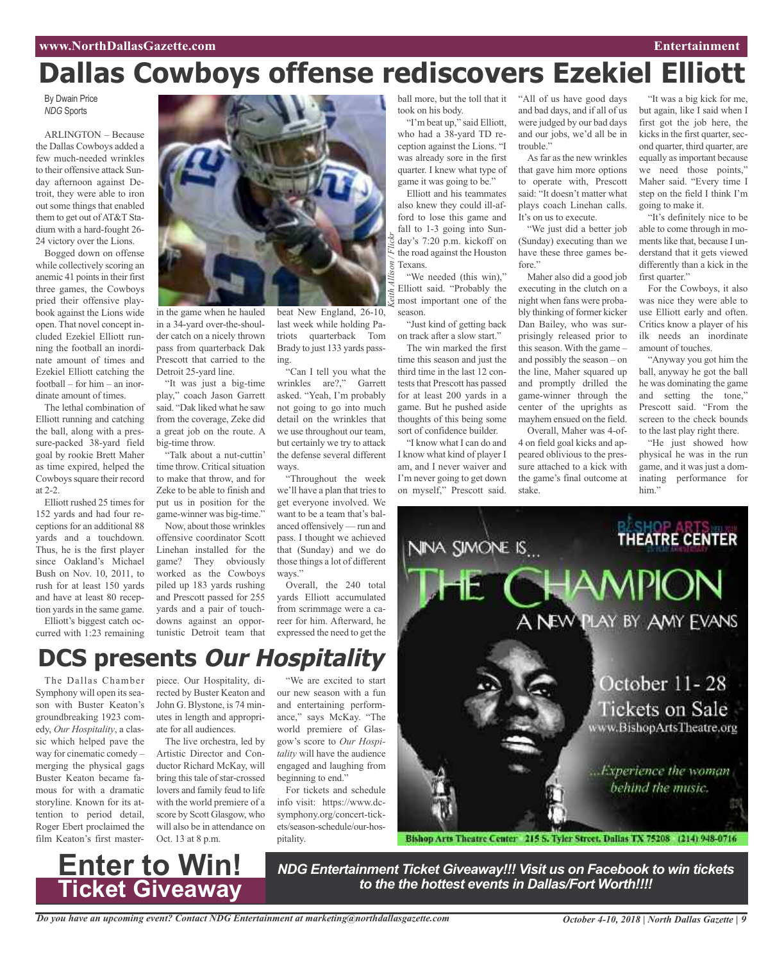# **Dallas Cowboys offense rediscovers Ezekiel Elliott**

By Dwain Price *NDG* Sports

ARLINGTON – Because the Dallas Cowboys added a few much-needed wrinkles to their offensive attack Sunday afternoon against Detroit, they were able to iron out some things that enabled them to get out ofAT&T Stadium with a hard-fought 26- 24 victory over the Lions.

Bogged down on offense while collectively scoring an anemic 41 points in their first three games, the Cowboys pried their offensive playbook against the Lions wide open. That novel concept included Ezekiel Elliott running the football an inordinate amount of times and Ezekiel Elliott catching the football – for him – an inordinate amount of times.

The lethal combination of Elliott running and catching the ball, along with a pressure-packed 38-yard field goal by rookie Brett Maher as time expired, helped the Cowboys square their record at 2-2.

Elliott rushed 25 times for 152 yards and had four receptions for an additional 88 yards and a touchdown. Thus, he is the first player since Oakland's Michael Bush on Nov. 10, 2011, to rush for at least 150 yards and have at least 80 reception yards in the same game.

Elliott's biggest catch occurred with 1:23 remaining



in the game when he hauled in a 34-yard over-the-shoulder catch on a nicely thrown pass from quarterback Dak Prescott that carried to the Detroit 25-yard line.

"It was just a big-time play," coach Jason Garrett said. "Dak liked what he saw from the coverage, Zeke did a great job on the route. A big-time throw.

"Talk about a nut-cuttin' time throw. Critical situation to make that throw, and for Zeke to be able to finish and put us in position for the game-winner was big-time."

Now, about those wrinkles offensive coordinator Scott Linehan installed for the game? They obviously worked as the Cowboys piled up 183 yards rushing and Prescott passed for 255 yards and a pair of touchdowns against an opportunistic Detroit team that

beat New England, 26-10, last week while holding Patriots quarterback Tom Brady to just 133 yards passing.

"Can I tell you what the wrinkles are?," Garrett asked. "Yeah, I'm probably not going to go into much detail on the wrinkles that we use throughout our team, but certainly we try to attack the defense several different ways.

"Throughout the week we'll have a plan that tries to get everyone involved. We want to be a team that's balanced offensively — run and pass. I thought we achieved that (Sunday) and we do those things a lot of different ways."

Overall, the 240 total yards Elliott accumulated from scrimmage were a career for him. Afterward, he expressed the need to get the

ball more, but the toll that it took on his body.

"I'm beat up," said Elliott, who had a 38-yard TD reception against the Lions. "I was already sore in the first quarter. I knew what type of game it was going to be."

Elliott and his teammates also knew they could ill-afford to lose this game and fall to 1-3 going into Sunday's 7:20 p.m. kickoff on the road against the Houston Texans. *Keith Allison / Flickr*

"We needed (this win)," Elliott said. "Probably the most important one of the season.

"Just kind of getting back on track after a slow start."

The win marked the first time this season and just the third time in the last 12 contests that Prescott has passed for at least 200 yards in a game. But he pushed aside thoughts of this being some sort of confidence builder.

"I know what I can do and I know what kind of player I am, and I never waiver and I'm never going to get down on myself," Prescott said.

"All of us have good days and bad days, and if all of us were judged by our bad days and our jobs, we'd all be in trouble."

Asfar asthe new wrinkles that gave him more options to operate with, Prescott said: "It doesn't matter what plays coach Linehan calls. It's on us to execute.

"We just did a better job (Sunday) executing than we have these three games before."

Maher also did a good job executing in the clutch on a night when fans were probably thinking of former kicker Dan Bailey, who was surprisingly released prior to this season. With the game – and possibly the season – on the line, Maher squared up and promptly drilled the game-winner through the center of the uprights as mayhem ensued on the field.

Overall, Maher was 4-of-4 on field goal kicks and appeared oblivious to the pressure attached to a kick with the game's final outcome at stake.

"It was a big kick for me, but again, like I said when I first got the job here, the kicks in the first quarter, second quarter, third quarter, are equally asimportant because we need those points," Maher said. "Every time I step on the field I think I'm going to make it.

"It's definitely nice to be able to come through in moments like that, because I understand that it gets viewed differently than a kick in the first quarter."

For the Cowboys, it also was nice they were able to use Elliott early and often. Critics know a player of his ilk needs an inordinate amount of touches.

"Anyway you got him the ball, anyway he got the ball he was dominating the game and setting the tone," Prescott said. "From the screen to the check bounds to the last play right there.

"He just showed how physical he was in the run game, and it was just a dominating performance for him."



#### The Dallas Chamber piece. Our Hospitality, di-'We are excited to start **DCS presents Our Hospitality**

Symphony will open its season with Buster Keaton's groundbreaking 1923 comedy, *Our Hospitality*, a classic which helped pave the way for cinematic comedy – merging the physical gags Buster Keaton became famous for with a dramatic storyline. Known for its attention to period detail, Roger Ebert proclaimed the film Keaton's first masterrected by Buster Keaton and John G. Blystone, is 74 minutes in length and appropriate for all audiences.

The live orchestra, led by Artistic Director and Conductor Richard McKay, will bring this tale of star-crossed lovers and family feud to life with the world premiere of a score by Scott Glasgow, who will also be in attendance on Oct. 13 at 8 p.m.

**Enter to Win!**

**Ticket Giveaway**

our new season with a fun and entertaining performance," says McKay. "The world premiere of Glasgow's score to *Our Hospitality* will have the audience engaged and laughing from beginning to end."

For tickets and schedule info visit: https://www.dcsymphony.org/concert-tickets/season-schedule/our-hospitality.

*NDG Entertainment Ticket Giveaway!!! Visit us on Facebook to win tickets to the the hottest events in Dallas/Fort Worth!!!!*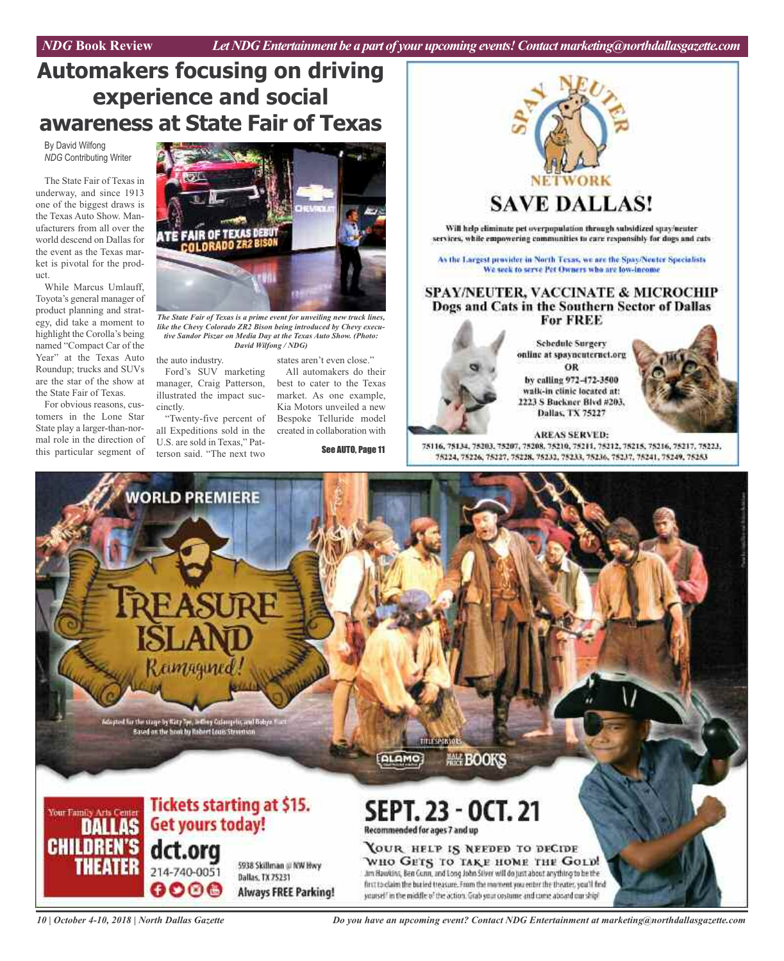# **Automakers focusing on driving experience and social awareness at State Fair of Texas**

By David Wilfong *NDG* Contributing Writer

The State Fair of Texas in underway, and since 1913 one of the biggest draws is the Texas Auto Show. Manufacturers from all over the world descend on Dallas for the event as the Texas market is pivotal for the product.

While Marcus Umlauff, Toyota's general manager of product planning and strategy, did take a moment to highlight the Corolla's being named "Compact Car of the Year" at the Texas Auto Roundup; trucks and SUVs are the star of the show at the State Fair of Texas.

For obvious reasons, customers in the Lone Star State play a larger-than-normal role in the direction of this particular segment of



*The State Fair of Texas is a prime event for unveiling new truck lines, like the Chevy Colorado ZR2 Bison being introduced by Chevy executive Sandor Piszar on Media Day at the Texas Auto Show. (Photo: David Wilfong / NDG)*

the auto industry.

*NORLD PREMIERE* 

Ford's SUV marketing manager, Craig Patterson, illustrated the impact succinctly.

"Twenty-five percent of all Expeditions sold in the U.S. are sold in Texas," Patterson said. "The next two

states aren't even close."

All automakers do their best to cater to the Texas market. As one example, Kia Motors unveiled a new Bespoke Telluride model created in collaboration with

See AUTO, Page 11



Will help eliminate pet overpopulation through subsidized spay/neuter services, while empowering communities to care responsibly for dogs and cuts

As the Largest provider in North Texas, we are the Spay/Neuter Specialists We seek to serve Pet Owners who are low-income

#### **SPAY/NEUTER, VACCINATE & MICROCHIP** Dogs and Cats in the Southern Sector of Dallas **For FREE**



**Schedule Surgery** online at spaynenternet.org OR

by calling 972-472-3500 walk-in clinic located at: 2223 S Buckner Blvd #203. Dallas, TX 75227

#### **AREAS SERVED:**

75116, 75134, 75203, 75207, 75208, 75210, 75211, 75212, 75215, 75216, 75217, 75223, 75224, 75226, 75227, 75228, 75232, 75233, 75236, 75237, 75241, 75249, 75253

clapted for the store by Kary T<sub>i</sub>m, before Cultury for and Robye Tion.<br>Eased on the boost by Rabert Louis Stevenson



[ALAMO] **NHBOOKS** 

## SEPT. 23 - OCT. 21 Recommended for ages 7 and up

YOUR HELP IS NEEDED TO DECIDE WHO GETS TO TAKE HOME THE GOLD! Jim Hawkins, Ben Gunn, and Long John Silver will do just about anything to be the first to claim the buried treasure. From the moment you enter the theater, you'll find yourself in the middle of the action. Grab your costume and come aboard our ship!

*Do you have an upcoming event? Contact NDG Entertainment at marketing@northdallasgazette.com*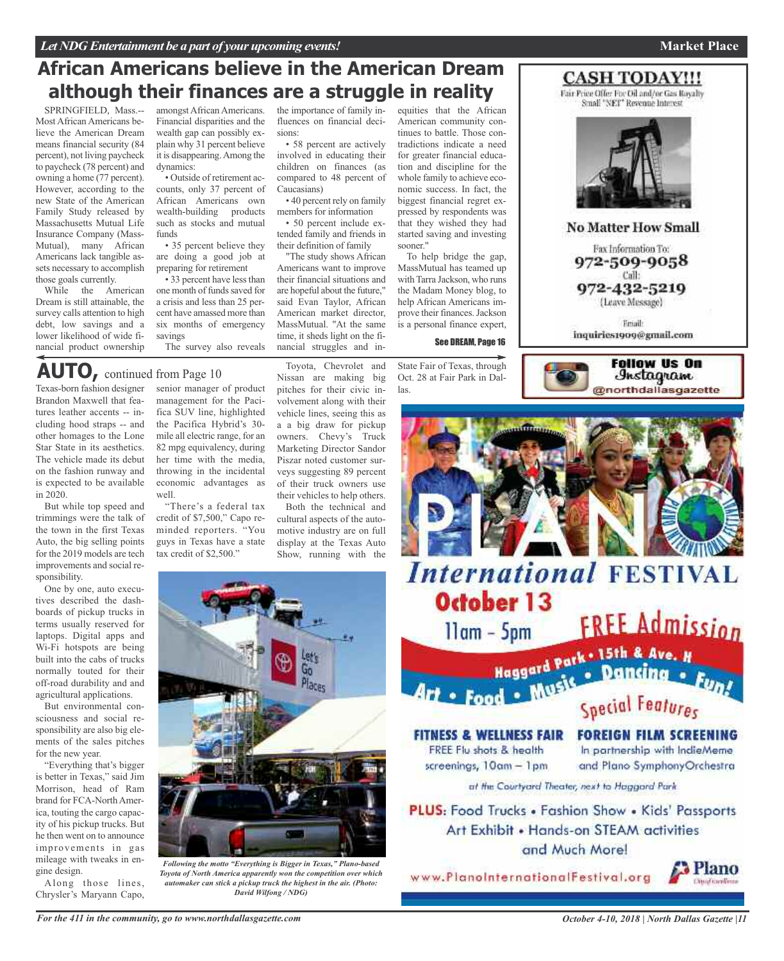## **African Americans believe in the American Dream although their finances are a struggle in reality**

SPRINGFIELD, Mass.-- Most African Americans believe the American Dream means financial security (84 percent), not living paycheck to paycheck (78 percent) and owning a home (77 percent). However, according to the new State of the American Family Study released by Massachusetts Mutual Life Insurance Company (Mass-Mutual), many African Americans lack tangible assets necessary to accomplish those goals currently.

While the American Dream is still attainable, the survey calls attention to high debt, low savings and a lower likelihood of wide financial product ownership

amongst African Americans. Financial disparities and the wealth gap can possibly explain why 31 percent believe it is disappearing.Among the dynamics:

• Outside of retirement accounts, only 37 percent of African Americans own wealth-building products such as stocks and mutual funds

• 35 percent believe they are doing a good job at preparing for retirement

• 33 percent have less than one month of funds saved for a crisis and less than 25 percent have amassed more than six months of emergency savings

The survey also reveals

## **AUTO,** continued from Page <sup>10</sup>

Texas-born fashion designer Brandon Maxwell that features leather accents -- including hood straps -- and other homages to the Lone Star State in its aesthetics. The vehicle made its debut on the fashion runway and is expected to be available in 2020.

But while top speed and trimmings were the talk of the town in the first Texas Auto, the big selling points for the 2019 models are tech improvements and social responsibility.

One by one, auto executives described the dashboards of pickup trucks in terms usually reserved for laptops. Digital apps and Wi-Fi hotspots are being built into the cabs of trucks normally touted for their off-road durability and and agricultural applications.

But environmental consciousness and social responsibility are also big elements of the sales pitches for the new year.

"Everything that's bigger is better in Texas," said Jim Morrison, head of Ram brand for FCA-North America, touting the cargo capacity of his pickup trucks. But he then went on to announce improvements in gas mileage with tweaks in engine design.

Along those lines, Chrysler's Maryann Capo,

senior manager of product management for the Pacifica SUV line, highlighted the Pacifica Hybrid's 30 mile all electric range, for an 82 mpg equivalency, during her time with the media, throwing in the incidental economic advantages as well.

"There's a federal tax credit of \$7,500," Capo reminded reporters. "You guys in Texas have a state tax credit of \$2,500."

the importance of family influences on financial decisions:

• 58 percent are actively involved in educating their children on finances (as compared to 48 percent of Caucasians)

• 40 percent rely on family members for information

• 50 percent include extended family and friends in their definition of family

"The study shows African Americans want to improve their financial situations and are hopeful about the future," said Evan Taylor, African American market director, MassMutual. "At the same time, it sheds light on the financial struggles and in-

Toyota, Chevrolet and Nissan are making big pitches for their civic involvement along with their vehicle lines, seeing this as a a big draw for pickup owners. Chevy's Truck Marketing Director Sandor Piszar noted customer surveys suggesting 89 percent of their truck owners use their vehicles to help others. Both the technical and cultural aspects of the automotive industry are on full display at the Texas Auto Show, running with the

equities that the African American community continues to battle. Those contradictions indicate a need for greater financial education and discipline for the whole family to achieve economic success. In fact, the biggest financial regret expressed by respondents was that they wished they had started saving and investing sooner."

To help bridge the gap, MassMutual has teamed up with Tarra Jackson, who runs the Madam Money blog, to help African Americans improve their finances.Jackson is a personal finance expert,

See DREAM, Page 16

State Fair of Texas, through Oct. 28 at Fair Park in Dallas.

Fair Price Offer For Oil and/or Gas Royalty Small "NET" Revenue Interest

**CASH TODAY!!!** 



**No Matter How Small** 

Fax Information To: 972-509-9058 Call: 972-432-5219 (Leave Message)

Email: inquiries1909@gmail.com

> **Follow Us On** Instagram @northdallasgazette





and Much More! *Following the motto "Everything is Bigger in Texas," Plano-based Toyota of North America apparently won the competition over which* www.PlanoInternationalFestival.org

**J** Plano David curilles

*automaker can stick a pickup truck the highest in the air. (Photo: David Wilfong / NDG)*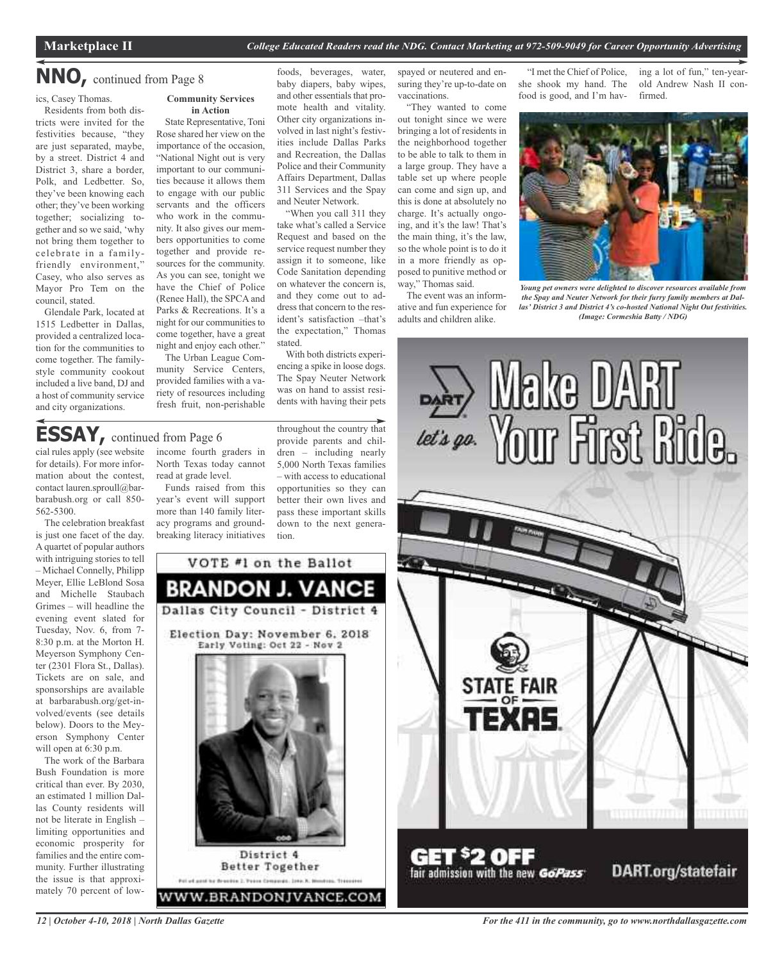## **NNO,** continued from Page <sup>8</sup>

ics, Casey Thomas.

Residents from both districts were invited for the festivities because, "they are just separated, maybe, by a street. District 4 and District 3, share a border, Polk, and Ledbetter. So, they've been knowing each other; they've been working together; socializing together and so we said, 'why not bring them together to celebrate in a familyfriendly environment," Casey, who also serves as Mayor Pro Tem on the council, stated.

Glendale Park, located at 1515 Ledbetter in Dallas, provided a centralized location for the communities to come together. The familystyle community cookout included a live band, DJ and a host of community service and city organizations.

#### **Community Services in Action**

State Representative, Toni Rose shared her view on the importance of the occasion, "National Night out is very important to our communities because it allows them to engage with our public servants and the officers who work in the community. It also gives our members opportunities to come together and provide resources for the community. As you can see, tonight we have the Chief of Police (Renee Hall), the SPCA and Parks & Recreations. It's a night for our communitiesto come together, have a great night and enjoy each other."

The Urban League Community Service Centers, provided families with a variety of resources including fresh fruit, non-perishable foods, beverages, water, baby diapers, baby wipes, and other essentials that promote health and vitality. Other city organizations involved in last night's festivities include Dallas Parks and Recreation, the Dallas Police and their Community Affairs Department, Dallas

and Neuter Network. "When you call 311 they take what's called a Service Request and based on the service request number they assign it to someone, like Code Sanitation depending on whatever the concern is, and they come out to address that concern to the resident's satisfaction –that's the expectation," Thomas stated.

311 Services and the Spay

With both districts experiencing a spike in loose dogs. The Spay Neuter Network was on hand to assist residents with having their pets spayed or neutered and ensuring they're up-to-date on vaccinations.

"They wanted to come out tonight since we were bringing a lot of residents in the neighborhood together to be able to talk to them in a large group. They have a table set up where people can come and sign up, and this is done at absolutely no charge. It's actually ongoing, and it's the law! That's the main thing, it's the law, so the whole point is to do it in a more friendly as opposed to punitive method or way," Thomas said.

The event was an informative and fun experience for adults and children alike.

"I met the Chief of Police, she shook my hand. The food is good, and I'm having a lot of fun," ten-yearold Andrew Nash II confirmed.



*Young pet owners were delighted to discover resources available from the Spay and Neuter Network for their furry family members at Dallas' District 3 and District 4's co-hosted National Night Out festivities. (Image: Cormeshia Batty / NDG)*



# **ESSAY,** continued from Page <sup>6</sup>

cial rules apply (see website for details). For more information about the contest, contact lauren.sproull@barbarabush.org or call 850- 562-5300.

The celebration breakfast is just one facet of the day. A quartet of popular authors with intriguing stories to tell – Michael Connelly, Philipp Meyer, Ellie LeBlond Sosa and Michelle Staubach Grimes – will headline the evening event slated for Tuesday, Nov. 6, from 7- 8:30 p.m. at the Morton H. Meyerson Symphony Center (2301 Flora St., Dallas). Tickets are on sale, and sponsorships are available at barbarabush.org/get-involved/events (see details below). Doors to the Meyerson Symphony Center will open at 6:30 p.m.

The work of the Barbara Bush Foundation is more critical than ever. By 2030, an estimated 1 million Dallas County residents will not be literate in English – limiting opportunities and economic prosperity for families and the entire community. Further illustrating the issue is that approximately 70 percent of lowincome fourth graders in North Texas today cannot

read at grade level. Funds raised from this year's event will support more than 140 family literacy programs and groundbreaking literacy initiatives

throughout the country that provide parents and children – including nearly 5,000 North Texas families – with access to educational opportunities so they can better their own lives and pass these important skills down to the next generation.



District 4 **Better Together** Pol of god by Brasilia 2. Passa Companis. 2004. N. Montrea, Trianginal

WWW.BRANDONJVANCE.COM

*12 | October 4-10, 2018 | North Dallas Gazette*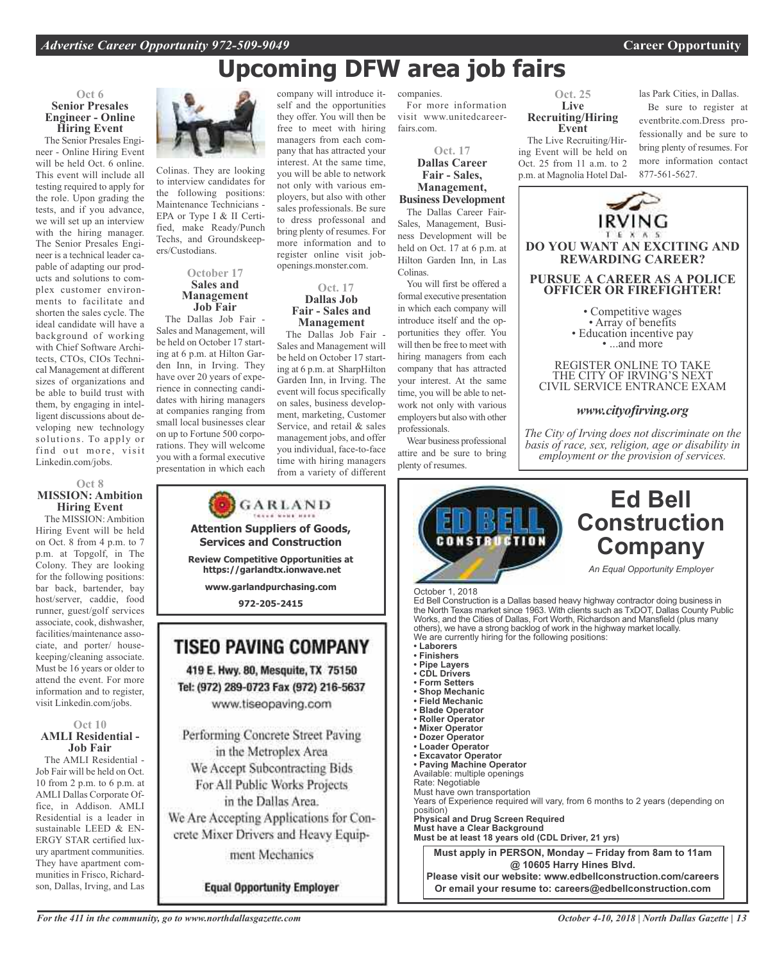Be sure to register at

fessionally and be sure to

#### **Oct 6 Senior Presales Engineer - Online Hiring Event**

The Senior Presales Engineer - Online Hiring Event will be held Oct. 6 online. This event will include all testing required to apply for the role. Upon grading the tests, and if you advance, we will set up an interview with the hiring manager. The Senior Presales Engineer is a technical leader capable of adapting our products and solutions to complex customer environments to facilitate and shorten the sales cycle. The ideal candidate will have a background of working with Chief Software Architects, CTOs, CIOs Technical Management at different sizes of organizations and be able to build trust with them, by engaging in intelligent discussions about developing new technology solutions. To apply or find out more, visit Linkedin.com/jobs.

**Oct 8 MISSION: Ambition Hiring Event**

The MISSION: Ambition Hiring Event will be held on Oct. 8 from 4 p.m. to 7 p.m. at Topgolf, in The Colony. They are looking for the following positions: bar back, bartender, bay host/server, caddie, food runner, guest/golf services associate, cook, dishwasher, facilities/maintenance associate, and porter/ housekeeping/cleaning associate. Must be 16 years or older to attend the event. For more information and to register, visit Linkedin.com/jobs.

**Oct 10 AMLI Residential - Job Fair**

The AMLI Residential - Job Fair will be held on Oct. 10 from 2 p.m. to 6 p.m. at AMLI Dallas Corporate Office, in Addison. AMLI Residential is a leader in sustainable LEED & EN-ERGY STAR certified luxury apartment communities. They have apartment communities in Frisco, Richardson, Dallas, Irving, and Las



Colinas. They are looking to interview candidates for the following positions: Maintenance Technicians - EPA or Type I & II Certified, make Ready/Punch Techs, and Groundskeepers/Custodians.

#### **October 17 Sales and Management Job Fair**

The Dallas Job Fair - Sales and Management, will be held on October 17 starting at 6 p.m. at Hilton Garden Inn, in Irving. They have over 20 years of experience in connecting candidates with hiring managers at companies ranging from small local businesses clear on up to Fortune 500 corporations. They will welcome you with a formal executive presentation in which each

**Services and Construction**

GARLAND

**https://garlandtx.ionwave.net www.garlandpurchasing.com 972-205-2415**

www.tiseopaving.com

in the Metroplex Area

For All Public Works Projects in the Dallas Area.

ment Mechanics

**Equal Opportunity Employer** 

company will introduce itself and the opportunities they offer. You will then be free to meet with hiring managers from each company that has attracted your interest. At the same time, you will be able to network not only with various employers, but also with other sales professionals. Be sure to dress professonal and bring plenty of resumes. For more information and to register online visit jobopenings.monster.com.

#### **Oct. 17 Dallas Job Fair - Sales and Management**

The Dallas Job Fair - Sales and Management will be held on October 17 starting at 6 p.m. at SharpHilton Garden Inn, in Irving. The event will focus specifically on sales, business development, marketing, Customer Service, and retail & sales management jobs, and offer you individual, face-to-face time with hiring managers from a variety of different

companies. For more information visit www.unitedcareerfairs.com.

**Oct. 17 Dallas Career Fair - Sales, Management,**

The Dallas Career Fair-Sales, Management, Business Development will be held on Oct. 17 at 6 p.m. at Hilton Garden Inn, in Las Colinas.

You will first be offered a formal executive presentation in which each company will introduce itself and the opportunities they offer. You will then be free to meet with hiring managers from each company that has attracted your interest. At the same time, you will be able to network not only with various employers but also with other professionals.

plenty of resumes.

**Oct. 25 Live Recruiting/Hiring**

**Business Development**

Wear business professional attire and be sure to bring **Event** las Park Cities, in Dallas. eventbrite.com.Dress pro-

The Live Recruiting/Hiring Event will be held on Oct. 25 from 11 a.m. to 2 p.m. at Magnolia Hotel Dal-

bring plenty of resumes. For more information contact 877-561-5627.



*www.cityofirving.org*

*The City of Irving does not discriminate on the basis of race, sex, religion, age or disability in employment or the provision of services.*

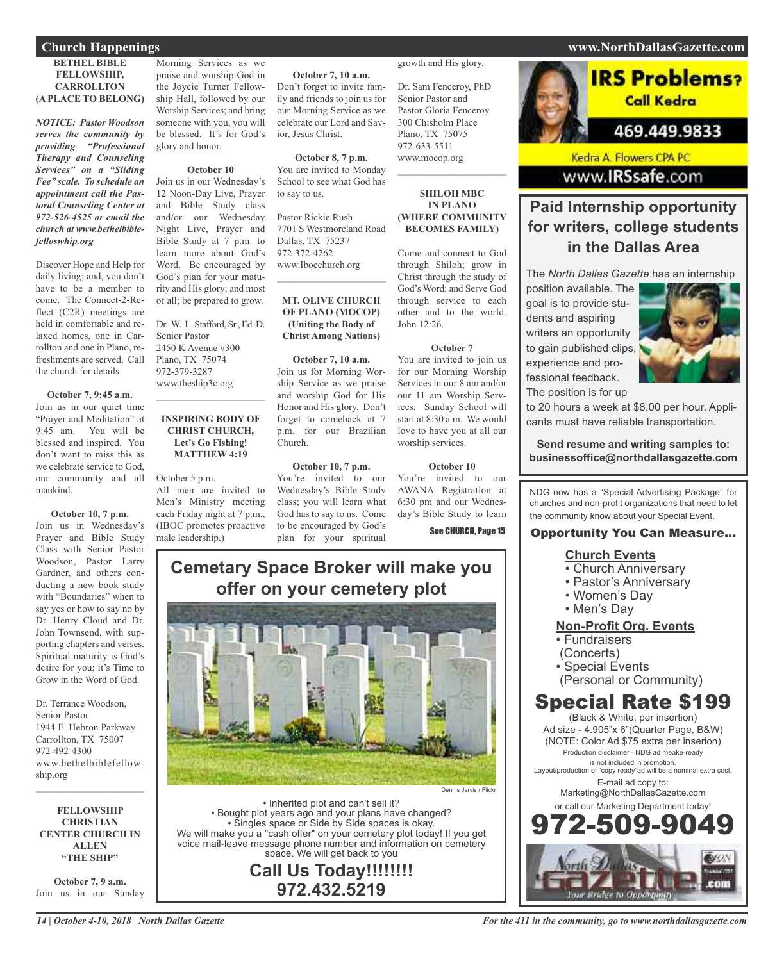#### **BETHEL BIBLE FELLOWSHIP, CARROLLTON (A PLACE TO BELONG)**

*NOTICE: Pastor Woodson serves the community by providing "Professional Therapy and Counseling Services" on a "Sliding Fee" scale. To schedule an appointment call the Pastoral Counseling Center at 972-526-4525 or email the church at www.bethelbiblefelloswhip.org*

Discover Hope and Help for daily living; and, you don't have to be a member to come. The Connect-2-Reflect (C2R) meetings are held in comfortable and relaxed homes, one in Carrollton and one in Plano, refreshments are served. Call the church for details.

**October 7, 9:45 a.m.** Join us in our quiet time "Prayer and Meditation" at 9:45 am. You will be blessed and inspired. You don't want to miss this as we celebrate service to God our community and all mankind.

#### **October 10, 7 p.m.**

Join us in Wednesday's Prayer and Bible Study Class with Senior Pastor Woodson, Pastor Larry Gardner, and others conducting a new book study with "Boundaries" when to say yes or how to say no by Dr. Henry Cloud and Dr. John Townsend, with supporting chapters and verses. Spiritual maturity is God's desire for you; it's Time to Grow in the Word of God.

Dr. Terrance Woodson, Senior Pastor 1944 E. Hebron Parkway Carrollton, TX 75007 972-492-4300 www.bethelbiblefellowship.org

**FELLOWSHIP CHRISTIAN CENTER CHURCH IN ALLEN "THE SHIP"**

 $\mathcal{L}_\text{max}$  , which is a set of the set of the set of the set of the set of the set of the set of the set of the set of the set of the set of the set of the set of the set of the set of the set of the set of the set of

**October 7, 9 a.m.** Join us in our Sunday

Morning Services as we praise and worship God in the Joycie Turner Fellowship Hall, followed by our Worship Services; and bring someone with you, you will be blessed. It's for God's glory and honor.

#### **October 10**

Join us in our Wednesday's 12 Noon-Day Live, Prayer and Bible Study class and/or our Wednesday Night Live, Prayer and Bible Study at 7 p.m. to learn more about God's Word. Be encouraged by God's plan for your maturity and His glory; and most of all; be prepared to grow.

Dr. W. L. Stafford, Sr., Ed. D. Senior Pastor 2450 K Avenue #300 Plano, TX 75074 972-379-3287 www.theship3c.org

 $\overline{\phantom{a}}$  , and the set of the set of the set of the set of the set of the set of the set of the set of the set of the set of the set of the set of the set of the set of the set of the set of the set of the set of the s

#### **INSPIRING BODY OF CHRIST CHURCH, Let's Go Fishing! MATTHEW 4:19**

October 5 p.m. All men are invited to Men's Ministry meeting each Friday night at 7 p.m., (IBOC promotes proactive male leadership.)

**October 7, 10 a.m.** Don't forget to invite family and friends to join us for our Morning Service as we celebrate our Lord and Savior, Jesus Christ.

**October 8, 7 p.m.**

You are invited to Monday School to see what God has to say to us.

Pastor Rickie Rush 7701 S Westmoreland Road Dallas, TX 75237 972-372-4262 www.Ibocchurch.org

#### **MT. OLIVE CHURCH OF PLANO (MOCOP) (Uniting the Body of Christ Among Nations)**

 $\mathcal{L}$  , and the set of the set of the set of the set of the set of the set of the set of the set of the set of the set of the set of the set of the set of the set of the set of the set of the set of the set of the set

**October 7, 10 a.m.** Join us for Morning Worship Service as we praise and worship God for His Honor and His glory. Don't forget to comeback at 7 p.m. for our Brazilian Church.

#### **October 10, 7 p.m.**

You're invited to our Wednesday's Bible Study class; you will learn what God has to say to us. Come to be encouraged by God's plan for your spiritual

growth and His glory.

Dr. Sam Fenceroy, PhD Senior Pastor and Pastor Gloria Fenceroy 300 Chisholm Place Plano, TX 75075 972-633-5511 www.mocop.org

#### **SHILOH MBC IN PLANO (WHERE COMMUNITY BECOMES FAMILY)**

 $\mathcal{L}_\text{max}$  , which is a set of the set of the set of the set of the set of the set of the set of the set of the set of the set of the set of the set of the set of the set of the set of the set of the set of the set of

Come and connect to God through Shiloh; grow in Christ through the study of God's Word; and Serve God through service to each other and to the world. John 12:26.

#### **October 7**

You are invited to join us for our Morning Worship Services in our 8 am and/or our 11 am Worship Services. Sunday School will start at 8:30 a.m. We would love to have you at all our worship services.

#### **October 10**

You're invited to our AWANA Registration at 6:30 pm and our Wednesday's Bible Study to learn

See CHURCH, Page 15

## **Cemetary Space Broker will make you offer on your cemetery plot**



• Inherited plot and can't sell it? • Bought plot years ago and your plans have changed? • Singles space or Side by Side spaces is okay. We will make you a "cash offer" on your cemetery plot today! If you get voice mail-leave message phone number and information on cemetery space. We will get back to you

**Call Us Today!!!!!!!! 972.432.5219**

#### **Church Happenings www.NorthDallasGazette.com**

Call Kedra

**IRS Problems?** 

469.449.9833

Kedra A. Flowers CPA PC www.IRSsafe.com

## **Paid Internship opportunity for writers, college students in the Dallas Area**

The *North Dallas Gazette* has an internship

position available. The goal is to provide students and aspiring writers an opportunity to gain published clips, experience and professional feedback. The position is for up



to 20 hours a week at \$8.00 per hour. Applicants must have reliable transportation.

**Send resume and writing samples to: businessoffice@northdallasgazette.com**

NDG now has a "Special Advertising Package" for churches and non-profit organizations that need to let the community know about your Special Event.

#### Opportunity You Can Measure...

#### **Church Events**

- Church Anniversary
- Pastor's Anniversary
- Women's Day
- Men's Day

#### **Non-Profit Org. Events**

- Fundraisers
- (Concerts)
- Special Events
- (Personal or Community)

## Special Rate \$199

(Black & White, per insertion) Ad size - 4.905"x 6"(Quarter Page, B&W) (NOTE: Color Ad \$75 extra per inserion) Production disclaimer - NDG ad meake-ready is not included in promotion. Layout/production of "copy ready"ad will be a nominal extra cost. E-mail ad copy to: Marketing@NorthDallasGazette.com or call our Marketing Department today! 972-509-9049

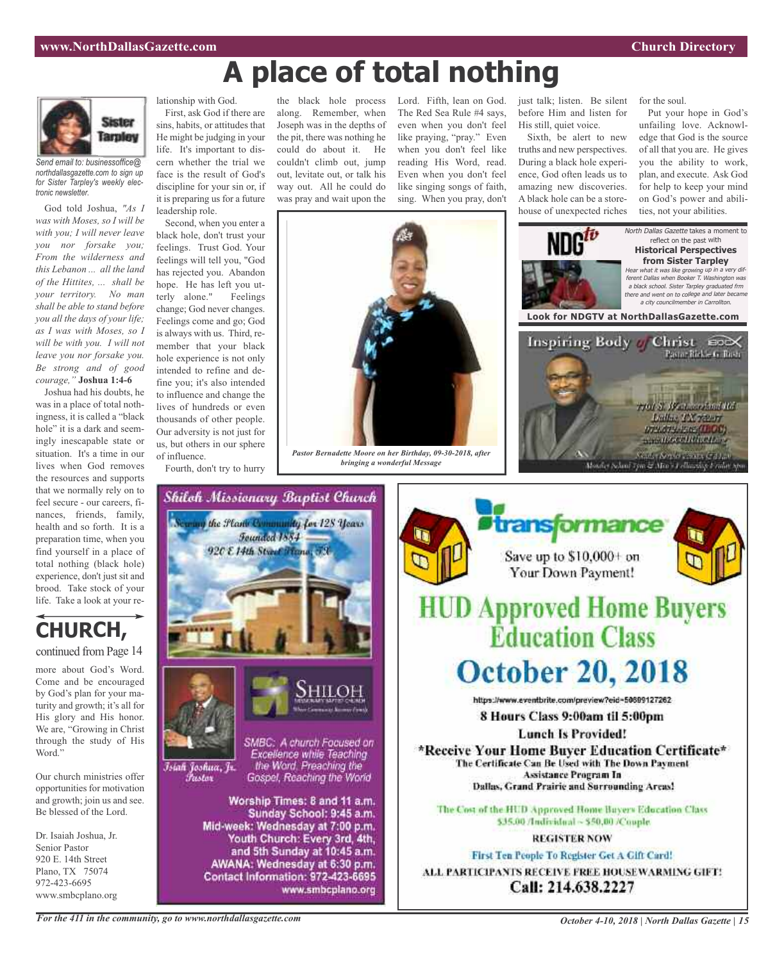# **A place of total nothing**



*Send email to: businessoffice@ northdallasgazette.com to sign up for Sister Tarpley's weekly electronic newsletter.*

God told Joshua, *"As I was with Moses, so I will be with you; I will never leave you nor forsake you; From the wilderness and this Lebanon ... all the land of the Hittites, ... shall be your territory. No man shall be able to stand before you all the days of your life; as I was with Moses, so I will be with you. I will not leave you nor forsake you. Be strong and of good courage,"* **Joshua 1:4-6**

Joshua had his doubts, he was in a place of total nothingness, it is called a "black hole" it is a dark and seemingly inescapable state or situation. It's a time in our lives when God removes the resources and supports that we normally rely on to feel secure - our careers, finances, friends, family, health and so forth. It is a preparation time, when you find yourself in a place of total nothing (black hole) experience, don't just sit and brood. Take stock of your life. Take a look at your re-

## **CHURCH,** continued from Page 14

more about God's Word. Come and be encouraged by God's plan for your maturity and growth; it's all for His glory and His honor. We are, "Growing in Christ through the study of His Word."

Our church ministries offer opportunities for motivation and growth; join us and see. Be blessed of the Lord.

Dr. Isaiah Joshua, Jr. Senior Pastor 920 E. 14th Street Plano, TX 75074 972-423-6695 www.smbcplano.org

lationship with God. First, ask God if there are sins, habits, or attitudes that He might be judging in your life. It's important to discern whether the trial we face is the result of God's discipline for your sin or, if it is preparing us for a future leadership role.

Second, when you enter a black hole, don't trust your feelings. Trust God. Your feelings will tell you, "God has rejected you. Abandon hope. He has left you utterly alone." Feelings change; God never changes. Feelings come and go; God is always with us. Third, remember that your black hole experience is not only intended to refine and define you; it's also intended to influence and change the lives of hundreds or even thousands of other people. Our adversity is not just for us, but others in our sphere of influence.

Fourth, don't try to hurry

Shiloh Missionary Baptist Church

Founded 1884 920 E 14th Street France, 73

the Flame Community for 128 Years

SMBC: A church Focused on

Excellence while Teaching

the Word, Preaching the

Gospel, Reaching the World

Sunday School: 9:45 a.m.

www.smbcplano.org

Worship Times: 8 and 11 a.m.

and 5th Sunday at 10:45 a.m.

Mid-week: Wednesday at 7:00 p.m. Youth Church: Every 3rd, 4th,

AWANA: Wednesday at 6:30 p.m.

Contact Information: 972-423-6695

along. Remember, when Joseph was in the depths of the pit, there was nothing he could do about it. He couldn't climb out, jump out, levitate out, or talk his way out. All he could do was pray and wait upon the

the black hole process Lord. Fifth, lean on God. The Red Sea Rule #4 says, even when you don't feel like praying, "pray." Even when you don't feel like reading His Word, read. Even when you don't feel like singing songs of faith, sing. When you pray, don't

just talk; listen. Be silent before Him and listen for His still, quiet voice.

Sixth, be alert to new truths and new perspectives. During a black hole experience, God often leads us to amazing new discoveries. A black hole can be a storehouse of unexpected riches for the soul.

**Look for NDGTV at NorthDallasGazette.com**

Inspiring Body Christ 200X

Put your hope in God's unfailing love. Acknowledge that God is the source of all that you are. He gives you the ability to work, plan, and execute. Ask God for help to keep your mind on God's power and abilities, not your abilities.

North Dallas Gazette takes a moment to reflect on the past with **Historical Perspectives from Sister Tarpley** Hear what it was like growing up in <sup>a</sup> very different Dallas when Booker T. Washington was <sup>a</sup> black school. Sister Tarpley graduated frm there and went on to college and later became <sup>a</sup> city councilmember in Carrollton.

Pasta - Rickle G. Bush.



*Pastor Bernadette Moore on her Birthday, 09-30-2018, after bringing a wonderful Message*



*For the 411 in the community, go to www.northdallasgazette.com*

Islah Joshua, Jr.

*<u>Fustor</u>* 

*October 4-10, 2018 | North Dallas Gazette | 15*